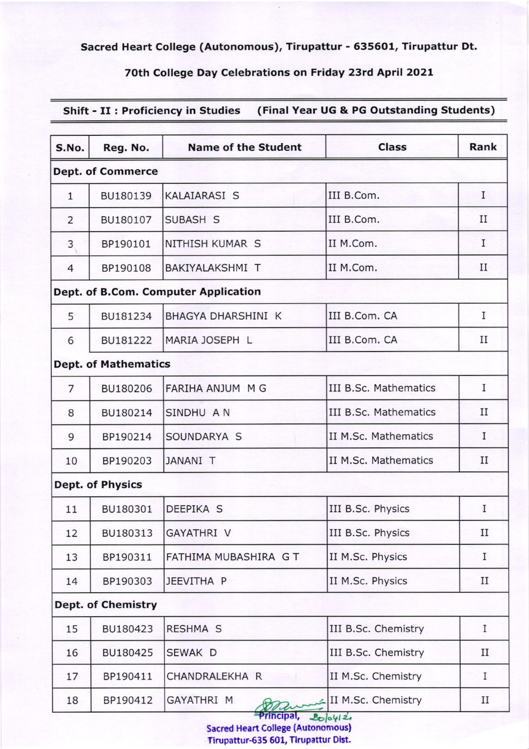Sacred Heart College (Autonomous), Tirupattur - 6356O1, Tirupattur Dt.

## 70th College Day Celebrations on Friday 23rd April 2O21

Shift - II : Proficiency in Studies (Final Year UG & PG Outstanding Students)

| S.No.          | Reg. No.                    | <b>Name of the Student</b>           | <b>Class</b>          | Rank        |
|----------------|-----------------------------|--------------------------------------|-----------------------|-------------|
|                | <b>Dept. of Commerce</b>    |                                      |                       |             |
| $\mathbf{1}$   | BU180139                    | <b>KALAIARASI S</b>                  | III B.Com.            | I           |
| $\overline{2}$ | BU180107                    | SUBASH S                             | III B.Com.            | $_{\rm II}$ |
| 3              | BP190101                    | NITHISH KUMAR S                      | II M.Com.             | Ι           |
| $\overline{4}$ | BP190108                    | <b>BAKIYALAKSHMI T</b>               | II M.Com.             | $_{\rm II}$ |
|                |                             | Dept. of B.Com. Computer Application |                       |             |
| 5              | BU181234                    | <b>BHAGYA DHARSHINI K</b>            | III B.Com. CA         | I           |
| 6              | BU181222                    | MARIA JOSEPH L                       | III B.Com. CA         | $_{\rm II}$ |
|                | <b>Dept. of Mathematics</b> |                                      |                       |             |
| $\overline{7}$ | BU180206                    | FARIHA ANJUM M G                     | III B.Sc. Mathematics | I           |
| 8              | BU180214                    | SINDHU A N                           | III B.Sc. Mathematics | $_{\rm II}$ |
| 9              | BP190214                    | SOUNDARYA S                          | II M.Sc. Mathematics  | I           |
| 10             | BP190203                    | <b>JANANI T</b>                      | II M.Sc. Mathematics  | $_{\rm II}$ |
|                | <b>Dept. of Physics</b>     |                                      |                       |             |
| 11             | BU180301                    | DEEPIKA S                            | III B.Sc. Physics     | I           |
| 12             | BU180313                    | GAYATHRI V                           | III B.Sc. Physics     | $_{\rm II}$ |
| 13             | BP190311                    | FATHIMA MUBASHIRA GT                 | II M.Sc. Physics      | I           |
| 14             | BP190303                    | JEEVITHA P                           | II M.Sc. Physics      | $_{\rm II}$ |
|                | <b>Dept. of Chemistry</b>   |                                      |                       |             |
| 15             | BU180423                    | <b>RESHMA S</b>                      | III B.Sc. Chemistry   | I           |
| 16             | BU180425                    | SEWAK D                              | III B.Sc. Chemistry   | $_{\rm II}$ |
| 17             | BP190411                    | CHANDRALEKHA R                       | II M.Sc. Chemistry    | I           |
| 18             | BP190412                    | GAYATHRI M                           | II M.Sc. Chemistry    | П           |

Sacred Heart College (Autonomous| Tirupattur-635 601, Tirupattur Dist.